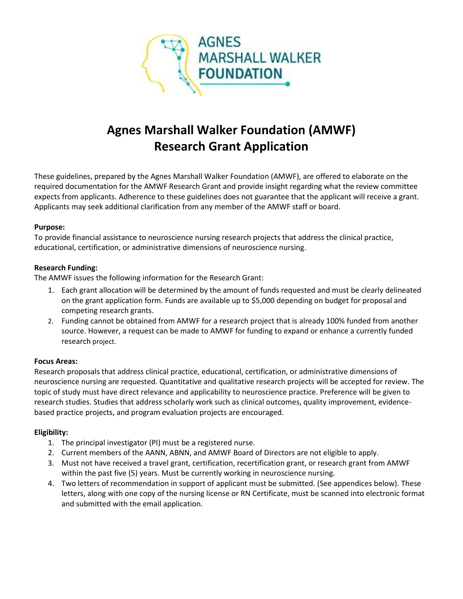

# **Agnes Marshall Walker Foundation (AMWF) Research Grant Application**

These guidelines, prepared by the Agnes Marshall Walker Foundation (AMWF), are offered to elaborate on the required documentation for the AMWF Research Grant and provide insight regarding what the review committee expects from applicants. Adherence to these guidelines does not guarantee that the applicant will receive a grant. Applicants may seek additional clarification from any member of the AMWF staff or board.

#### **Purpose:**

To provide financial assistance to neuroscience nursing research projects that address the clinical practice, educational, certification, or administrative dimensions of neuroscience nursing.

#### **Research Funding:**

The AMWF issues the following information for the Research Grant:

- 1. Each grant allocation will be determined by the amount of funds requested and must be clearly delineated on the grant application form. Funds are available up to \$5,000 depending on budget for proposal and competing research grants.
- 2. Funding cannot be obtained from AMWF for a research project that is already 100% funded from another source. However, a request can be made to AMWF for funding to expand or enhance a currently funded research project.

#### **Focus Areas:**

Research proposals that address clinical practice, educational, certification, or administrative dimensions of neuroscience nursing are requested. Quantitative and qualitative research projects will be accepted for review. The topic of study must have direct relevance and applicability to neuroscience practice. Preference will be given to research studies. Studies that address scholarly work such as clinical outcomes, quality improvement, evidencebased practice projects, and program evaluation projects are encouraged.

#### **Eligibility:**

- 1. The principal investigator (PI) must be a registered nurse.
- 2. Current members of the AANN, ABNN, and AMWF Board of Directors are not eligible to apply.
- 3. Must not have received a travel grant, certification, recertification grant, or research grant from AMWF within the past five (5) years. Must be currently working in neuroscience nursing.
- 4. Two letters of recommendation in support of applicant must be submitted. (See appendices below). These letters, along with one copy of the nursing license or RN Certificate, must be scanned into electronic format and submitted with the email application.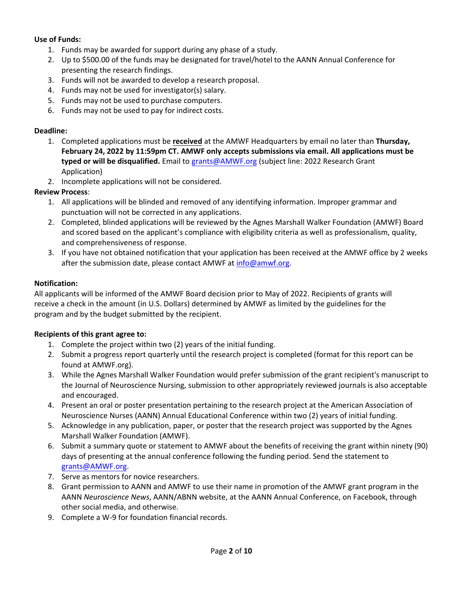#### **Use of Funds:**

- 1. Funds may be awarded for support during any phase of a study.
- 2. Up to \$500.00 of the funds may be designated for travel/hotel to the AANN Annual Conference for presenting the research findings.
- 3. Funds will not be awarded to develop a research proposal.
- 4. Funds may not be used for investigator(s) salary.
- 5. Funds may not be used to purchase computers.
- 6. Funds may not be used to pay for indirect costs.

#### **Deadline:**

- 1. Completed applications must be **received** at the AMWF Headquarters by email no later than **Thursday, February 24, 2022 by 11:59pm CT. AMWF only accepts submissions via email. All applications must be typed or will be disqualified.** Email to [grants@AMWF.org](mailto:grants@AMWF.org) (subject line: 2022 Research Grant Application)
- 2. Incomplete applications will not be considered.

#### **Review Process**:

- 1. All applications will be blinded and removed of any identifying information. Improper grammar and punctuation will not be corrected in any applications.
- 2. Completed, blinded applications will be reviewed by the Agnes Marshall Walker Foundation (AMWF) Board and scored based on the applicant's compliance with eligibility criteria as well as professionalism, quality, and comprehensiveness of response.
- 3. If you have not obtained notification that your application has been received at the AMWF office by 2 weeks after the submission date, please contact AMWF at  $info@amwf.org$ .

#### **Notification:**

All applicants will be informed of the AMWF Board decision prior to May of 2022. Recipients of grants will receive a check in the amount (in U.S. Dollars) determined by AMWF as limited by the guidelines for the program and by the budget submitted by the recipient.

#### **Recipients of this grant agree to:**

- 1. Complete the project within two (2) years of the initial funding.
- 2. Submit a progress report quarterly until the research project is completed (format for this report can be found at AMWF.org).
- 3. While the Agnes Marshall Walker Foundation would prefer submission of the grant recipient's manuscript to the Journal of Neuroscience Nursing, submission to other appropriately reviewed journals is also acceptable and encouraged.
- 4. Present an oral or poster presentation pertaining to the research project at the American Association of Neuroscience Nurses (AANN) Annual Educational Conference within two (2) years of initial funding.
- 5. Acknowledge in any publication, paper, or poster that the research project was supported by the Agnes Marshall Walker Foundation (AMWF).
- 6. Submit a summary quote or statement to AMWF about the benefits of receiving the grant within ninety (90) days of presenting at the annual conference following the funding period. Send the statement to [grants@AMWF.org.](mailto:grants@AMWF.org)
- 7. Serve as mentors for novice researchers.
- 8. Grant permission to AANN and AMWF to use their name in promotion of the AMWF grant program in the AANN *Neuroscience News*, AANN/ABNN website, at the AANN Annual Conference, on Facebook, through other social media, and otherwise.
- 9. Complete a W-9 for foundation financial records.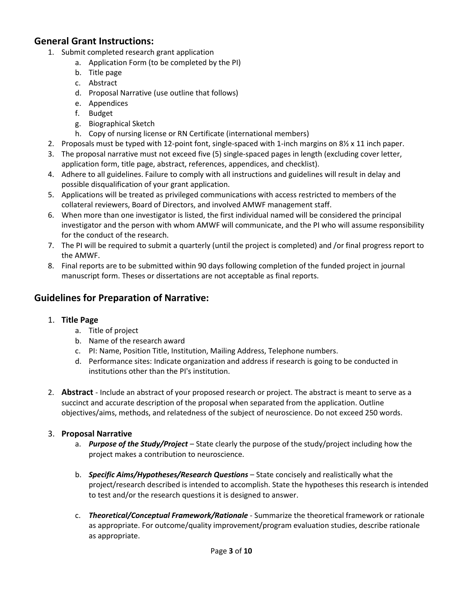### **General Grant Instructions:**

- 1. Submit completed research grant application
	- a. Application Form (to be completed by the PI)
	- b. Title page
	- c. Abstract
	- d. Proposal Narrative (use outline that follows)
	- e. Appendices
	- f. Budget
	- g. Biographical Sketch
	- h. Copy of nursing license or RN Certificate (international members)
- 2. Proposals must be typed with 12-point font, single-spaced with 1-inch margins on 8½ x 11 inch paper.
- 3. The proposal narrative must not exceed five (5) single-spaced pages in length (excluding cover letter, application form, title page, abstract, references, appendices, and checklist).
- 4. Adhere to all guidelines. Failure to comply with all instructions and guidelines will result in delay and possible disqualification of your grant application.
- 5. Applications will be treated as privileged communications with access restricted to members of the collateral reviewers, Board of Directors, and involved AMWF management staff.
- 6. When more than one investigator is listed, the first individual named will be considered the principal investigator and the person with whom AMWF will communicate, and the PI who will assume responsibility for the conduct of the research.
- 7. The PI will be required to submit a quarterly (until the project is completed) and /or final progress report to the AMWF.
- 8. Final reports are to be submitted within 90 days following completion of the funded project in journal manuscript form. Theses or dissertations are not acceptable as final reports.

## **Guidelines for Preparation of Narrative:**

### 1. **Title Page**

- a. Title of project
- b. Name of the research award
- c. PI: Name, Position Title, Institution, Mailing Address, Telephone numbers.
- d. Performance sites: Indicate organization and address if research is going to be conducted in institutions other than the PI's institution.
- 2. **Abstract**  Include an abstract of your proposed research or project. The abstract is meant to serve as a succinct and accurate description of the proposal when separated from the application. Outline objectives/aims, methods, and relatedness of the subject of neuroscience. Do not exceed 250 words.

### 3. **Proposal Narrative**

- a. *Purpose of the Study/Project* State clearly the purpose of the study/project including how the project makes a contribution to neuroscience.
- b. *Specific Aims/Hypotheses/Research Questions* State concisely and realistically what the project/research described is intended to accomplish. State the hypotheses this research is intended to test and/or the research questions it is designed to answer.
- c. *Theoretical/Conceptual Framework/Rationale* Summarize the theoretical framework or rationale as appropriate. For outcome/quality improvement/program evaluation studies, describe rationale as appropriate.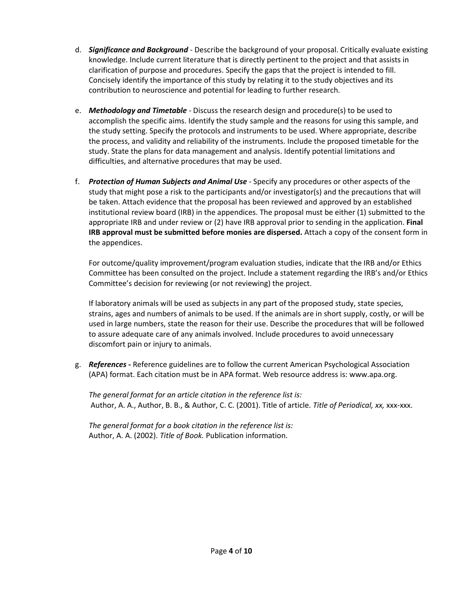- d. *Significance and Background* Describe the background of your proposal. Critically evaluate existing knowledge. Include current literature that is directly pertinent to the project and that assists in clarification of purpose and procedures. Specify the gaps that the project is intended to fill. Concisely identify the importance of this study by relating it to the study objectives and its contribution to neuroscience and potential for leading to further research.
- e. *Methodology and Timetable -* Discuss the research design and procedure(s) to be used to accomplish the specific aims. Identify the study sample and the reasons for using this sample, and the study setting. Specify the protocols and instruments to be used. Where appropriate, describe the process, and validity and reliability of the instruments. Include the proposed timetable for the study. State the plans for data management and analysis. Identify potential limitations and difficulties, and alternative procedures that may be used.
- f. *Protection of Human Subjects and Animal Use* Specify any procedures or other aspects of the study that might pose a risk to the participants and/or investigator(s) and the precautions that will be taken. Attach evidence that the proposal has been reviewed and approved by an established institutional review board (IRB) in the appendices. The proposal must be either (1) submitted to the appropriate IRB and under review or (2) have IRB approval prior to sending in the application. **Final IRB approval must be submitted before monies are dispersed.** Attach a copy of the consent form in the appendices.

For outcome/quality improvement/program evaluation studies, indicate that the IRB and/or Ethics Committee has been consulted on the project. Include a statement regarding the IRB's and/or Ethics Committee's decision for reviewing (or not reviewing) the project.

If laboratory animals will be used as subjects in any part of the proposed study, state species, strains, ages and numbers of animals to be used. If the animals are in short supply, costly, or will be used in large numbers, state the reason for their use. Describe the procedures that will be followed to assure adequate care of any animals involved. Include procedures to avoid unnecessary discomfort pain or injury to animals.

g. *References* **-** Reference guidelines are to follow the current American Psychological Association (APA) format. Each citation must be in APA format. Web resource address is: www.apa.org.

*The general format for an article citation in the reference list is:* Author, A. A., Author, B. B., & Author, C. C. (2001). Title of article. *Title of Periodical, xx,* xxx-xxx.

*The general format for a book citation in the reference list is:*  Author, A. A. (2002). *Title of Book.* Publication information.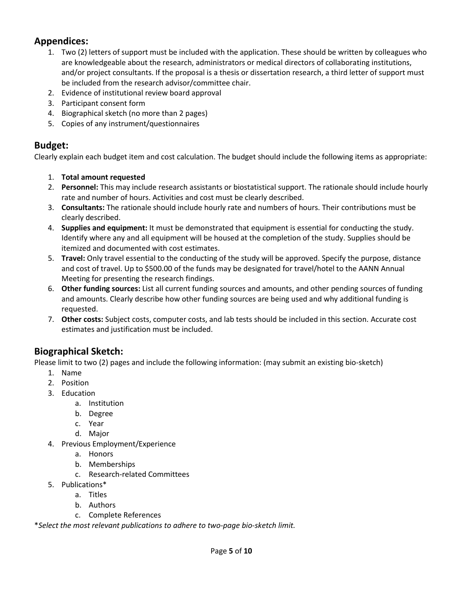### **Appendices:**

- 1. Two (2) letters of support must be included with the application. These should be written by colleagues who are knowledgeable about the research, administrators or medical directors of collaborating institutions, and/or project consultants. If the proposal is a thesis or dissertation research, a third letter of support must be included from the research advisor/committee chair.
- 2. Evidence of institutional review board approval
- 3. Participant consent form
- 4. Biographical sketch (no more than 2 pages)
- 5. Copies of any instrument/questionnaires

### **Budget:**

Clearly explain each budget item and cost calculation. The budget should include the following items as appropriate:

- 1. **Total amount requested**
- 2. **Personnel:** This may include research assistants or biostatistical support. The rationale should include hourly rate and number of hours. Activities and cost must be clearly described.
- 3. **Consultants:** The rationale should include hourly rate and numbers of hours. Their contributions must be clearly described.
- 4. **Supplies and equipment:** It must be demonstrated that equipment is essential for conducting the study. Identify where any and all equipment will be housed at the completion of the study. Supplies should be itemized and documented with cost estimates.
- 5. **Travel:** Only travel essential to the conducting of the study will be approved. Specify the purpose, distance and cost of travel. Up to \$500.00 of the funds may be designated for travel/hotel to the AANN Annual Meeting for presenting the research findings.
- 6. **Other funding sources:** List all current funding sources and amounts, and other pending sources of funding and amounts. Clearly describe how other funding sources are being used and why additional funding is requested.
- 7. **Other costs:** Subject costs, computer costs, and lab tests should be included in this section. Accurate cost estimates and justification must be included.

# **Biographical Sketch:**

Please limit to two (2) pages and include the following information: (may submit an existing bio-sketch)

- 1. Name
- 2. Position
- 3. Education
	- a. Institution
	- b. Degree
	- c. Year
	- d. Major
- 4. Previous Employment/Experience
	- a. Honors
	- b. Memberships
	- c. Research-related Committees
- 5. Publications\*
	- a. Titles
	- b. Authors
	- c. Complete References

\**Select the most relevant publications to adhere to two-page bio-sketch limit.*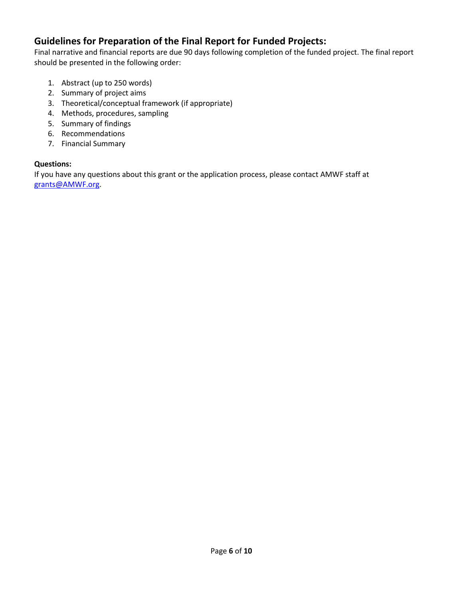# **Guidelines for Preparation of the Final Report for Funded Projects:**

Final narrative and financial reports are due 90 days following completion of the funded project. The final report should be presented in the following order:

- 1. Abstract (up to 250 words)
- 2. Summary of project aims
- 3. Theoretical/conceptual framework (if appropriate)
- 4. Methods, procedures, sampling
- 5. Summary of findings
- 6. Recommendations
- 7. Financial Summary

#### **Questions:**

If you have any questions about this grant or the application process, please contact AMWF staff at [grants@AMWF.org.](mailto:grants@AMWF.org)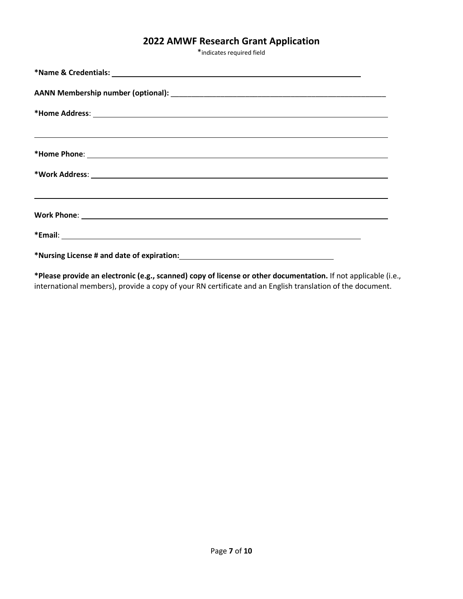# **2022 AMWF Research Grant Application**

\*indicates required field

| ,我们也不会有什么。""我们的人,我们也不会有什么?""我们的人,我们也不会有什么?""我们的人,我们也不会有什么?""我们的人,我们也不会有什么?""我们的人 |
|----------------------------------------------------------------------------------|
|                                                                                  |
|                                                                                  |
|                                                                                  |
|                                                                                  |
|                                                                                  |
|                                                                                  |

**\*Please provide an electronic (e.g., scanned) copy of license or other documentation.** If not applicable (i.e., international members), provide a copy of your RN certificate and an English translation of the document.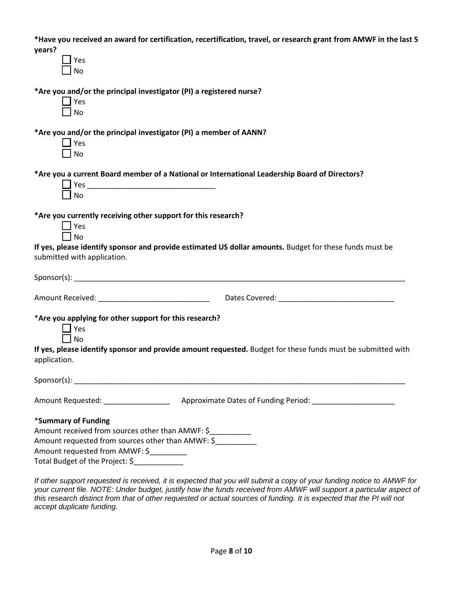**\*Have you received an award for certification, recertification, travel, or research grant from AMWF in the last 5 years?**

|   | Ξ      |
|---|--------|
| ı | ۱<br>ר |

**\*Are you and/or the principal investigator (PI) a registered nurse?**

| ς<br>د       |
|--------------|
| Ń,<br>N<br>n |

**\*Are you and/or the principal investigator (PI) a member of AANN?**

 $\Box$  Yes No

**\*Are you a current Board member of a National or International Leadership Board of Directors?**

| $\mathsf{l}$ Yes         |  |  |  |
|--------------------------|--|--|--|
| $\mathsf{\mathsf{J}}$ No |  |  |  |

**\*Are you currently receiving other support for this research?**

| ž<br>┶      |
|-------------|
| J<br>n<br>N |

**If yes, please identify sponsor and provide estimated US dollar amounts.** Budget for these funds must be submitted with application.

| Dates Covered: |
|----------------|
|                |
|                |

**If yes, please identify sponsor and provide amount requested.** Budget for these funds must be submitted with application.

| Sponsor(s): |  |  |
|-------------|--|--|
|             |  |  |

Amount Requested: etc. Approximate Dates of Funding Period:  $\blacksquare$ 

# \***Summary of Funding**

Amount received from sources other than AMWF: \$\_\_\_\_\_\_\_\_\_ Amount requested from sources other than AMWF: \$

Amount requested from AMWF: \$

Total Budget of the Project: \$\_\_\_\_\_\_\_\_\_\_\_\_

*If other support requested is received, it is expected that you will submit a copy of your funding notice to AMWF for your current file. NOTE: Under budget, justify how the funds received from AMWF will support a particular aspect of this research distinct from that of other requested or actual sources of funding. It is expected that the PI will not accept duplicate funding.*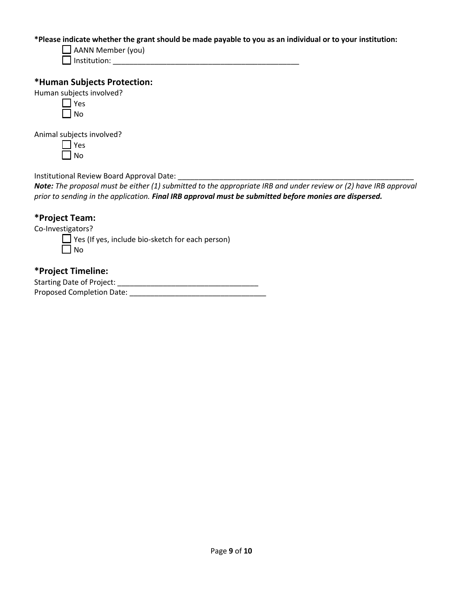#### **\*Please indicate whether the grant should be made payable to you as an individual or to your institution:**

| AANN Member (you)   |  |
|---------------------|--|
| $\Box$ Institution: |  |

### **\*Human Subjects Protection:**

| Human subjects involved? |
|--------------------------|
|--------------------------|

| י<br>د |
|--------|
| N<br>n |

Animal subjects involved?

Institutional Review Board Approval Date: \_\_\_\_\_\_\_\_\_\_\_\_\_\_\_\_\_\_\_\_\_\_\_\_\_\_\_\_\_\_\_\_\_\_\_\_\_\_\_\_\_\_\_\_\_\_\_\_\_\_\_\_\_\_\_\_\_

*Note: The proposal must be either (1) submitted to the appropriate IRB and under review or (2) have IRB approval prior to sending in the application. Final IRB approval must be submitted before monies are dispersed.*

### **\*Project Team:**

Co-Investigators?

 $\Box$  Yes (If yes, include bio-sketch for each person)  $\Box$  No

### **\*Project Timeline:**

Starting Date of Project: \_\_\_\_\_\_\_\_\_\_\_\_\_\_\_\_\_\_\_\_\_\_\_\_\_\_\_\_\_\_\_\_\_\_ Proposed Completion Date: \_\_\_\_\_\_\_\_\_\_\_\_\_\_\_\_\_\_\_\_\_\_\_\_\_\_\_\_\_\_\_\_\_